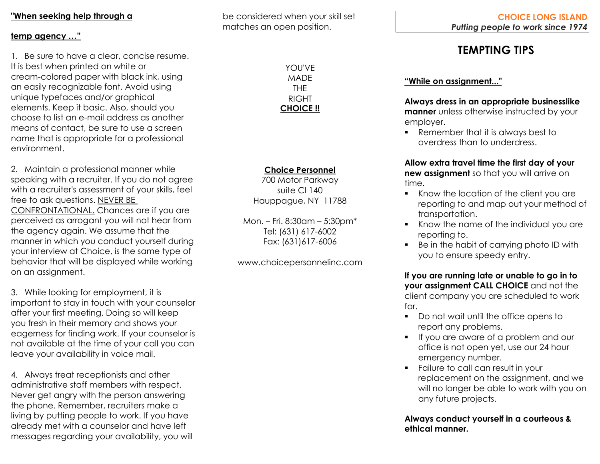## **"When seeking help through a**

#### **temp agency …"**

1. Be sure to have a clear, concise resume. It is best when printed on white or cream-colored paper with black ink, using an easily recognizable font. Avoid using unique typefaces and/or graphical elements. Keep it basic. Also, should you choose to list an e-mail address as another means of contact, be sure to use a screen name that is appropriate for a professional environment.

2. Maintain a professional manner while speaking with a recruiter. If you do not agree with a recruiter's assessment of your skills, feel free to ask questions. NEVER BE CONFRONTATIONAL. Chances are if you are perceived as arrogant you will not hear from the agency again. We assume that the manner in which you conduct yourself during your interview at Choice, is the same type of behavior that will be displayed while working on an assignment.

3. While looking for employment, it is important to stay in touch with your counselor after your first meeting. Doing so will keep you fresh in their memory and shows your eagerness for finding work. If your counselor is not available at the time of your call you can leave your availability in voice mail.

4. Always treat receptionists and other administrative staff members with respect. Never get angry with the person answering the phone. Remember, recruiters make a living by putting people to work. If you have already met with a counselor and have left messages regarding your availability, you will be considered when your skill set matches an open position.

> YOU'VE MADE THE RIGHT **CHOICE !!**

# **Choice Personnel**

700 Motor Parkway suite Cl 140 Hauppague, NY 11788

Mon. – Fri. 8:30am – 5:30pm\* Tel: (631) 617-6002 Fax: (631)617-6006

www.choicepersonnelinc.com

# **TEMPTING TIPS**

## **"While on assignment..."**

**Always dress in an appropriate businesslike manner** unless otherwise instructed by your employer.

■ Remember that it is always best to overdress than to underdress.

**Allow extra travel time the first day of your new assignment** so that you will arrive on time.

- Know the location of the client you are reporting to and map out your method of transportation.
- Know the name of the individual you are reporting to.
- Be in the habit of carrying photo ID with you to ensure speedy entry.

**If you are running late or unable to go in to your assignment CALL CHOICE** and not the client company you are scheduled to work for.

- Do not wait until the office opens to report any problems.
- **•** If you are aware of a problem and our office is not open yet, use our 24 hour emergency number.
- Failure to call can result in your replacement on the assignment, and we will no longer be able to work with you on any future projects.

**Always conduct yourself in a courteous & ethical manner.**